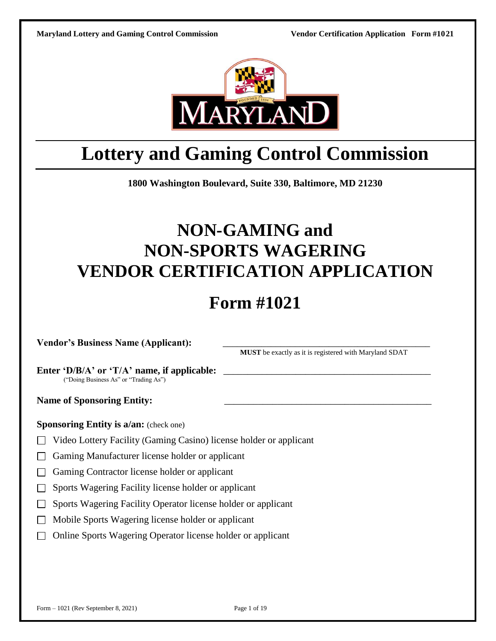

# **Lottery and Gaming Control Commission**

**1800 Washington Boulevard, Suite 330, Baltimore, MD 21230**

# **NON-GAMING and NON-SPORTS WAGERING VENDOR CERTIFICATION APPLICATION**

# **Form #1021**

**Vendor's Business Name (Applicant):** \_\_\_\_\_\_\_\_\_\_\_\_\_\_\_\_\_\_\_\_\_\_\_\_\_\_\_\_\_\_\_\_\_\_\_\_\_\_\_\_\_\_\_

**MUST** be exactly as it is registered with Maryland SDAT

Enter **'D/B/A'** or **'T/A'** name, if applicable: ("Doing Business As" or "Trading As")

Name of Sponsoring Entity:

**Sponsoring Entity is a/an:** (check one)

- □ Video Lottery Facility (Gaming Casino) license holder or applicant
- □ Gaming Manufacturer license holder or applicant
- □ Gaming Contractor license holder or applicant
- □ Sports Wagering Facility license holder or applicant
- □ Sports Wagering Facility Operator license holder or applicant
- □ Mobile Sports Wagering license holder or applicant
- □ Online Sports Wagering Operator license holder or applicant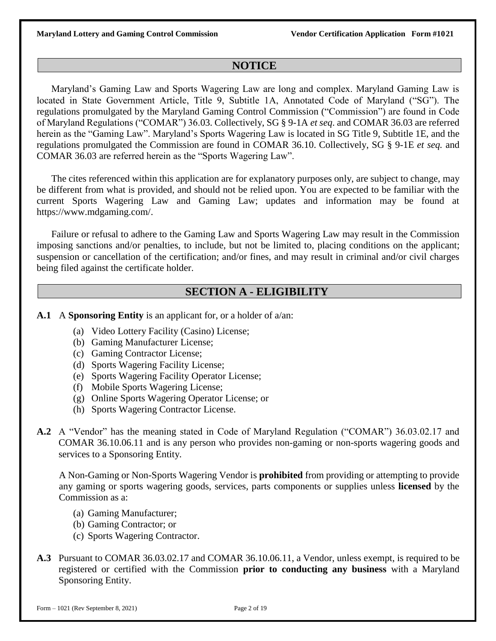### **NOTICE**

Maryland's Gaming Law and Sports Wagering Law are long and complex. Maryland Gaming Law is located in State Government Article, Title 9, Subtitle 1A, Annotated Code of Maryland ("SG"). The regulations promulgated by the Maryland Gaming Control Commission ("Commission") are found in Code of Maryland Regulations ("COMAR") 36.03. Collectively, SG § 9-1A *et seq*. and COMAR 36.03 are referred herein as the "Gaming Law". Maryland's Sports Wagering Law is located in SG Title 9, Subtitle 1E, and the regulations promulgated the Commission are found in COMAR 36.10. Collectively, SG § 9-1E *et seq.* and COMAR 36.03 are referred herein as the "Sports Wagering Law".

The cites referenced within this application are for explanatory purposes only, are subject to change, may be different from what is provided, and should not be relied upon. You are expected to be familiar with the current Sports Wagering Law and Gaming Law; updates and information may be found at https://www.mdgaming.com/.

Failure or refusal to adhere to the Gaming Law and Sports Wagering Law may result in the Commission imposing sanctions and/or penalties, to include, but not be limited to, placing conditions on the applicant; suspension or cancellation of the certification; and/or fines, and may result in criminal and/or civil charges being filed against the certificate holder.

### **SECTION A - ELIGIBILITY**

**A.1** A **Sponsoring Entity** is an applicant for, or a holder of a/an:

- (a) Video Lottery Facility (Casino) License;
- (b) Gaming Manufacturer License;
- (c) Gaming Contractor License;
- (d) Sports Wagering Facility License;
- (e) Sports Wagering Facility Operator License;
- (f) Mobile Sports Wagering License;
- (g) Online Sports Wagering Operator License; or
- (h) Sports Wagering Contractor License.
- **A.2** A "Vendor" has the meaning stated in Code of Maryland Regulation ("COMAR") 36.03.02.17 and COMAR 36.10.06.11 and is any person who provides non-gaming or non-sports wagering goods and services to a Sponsoring Entity.

A Non-Gaming or Non-Sports Wagering Vendor is **prohibited** from providing or attempting to provide any gaming or sports wagering goods, services, parts components or supplies unless **licensed** by the Commission as a:

- (a) Gaming Manufacturer;
- (b) Gaming Contractor; or
- (c) Sports Wagering Contractor.
- **A.3** Pursuant to COMAR 36.03.02.17 and COMAR 36.10.06.11, a Vendor, unless exempt, is required to be registered or certified with the Commission **prior to conducting any business** with a Maryland Sponsoring Entity.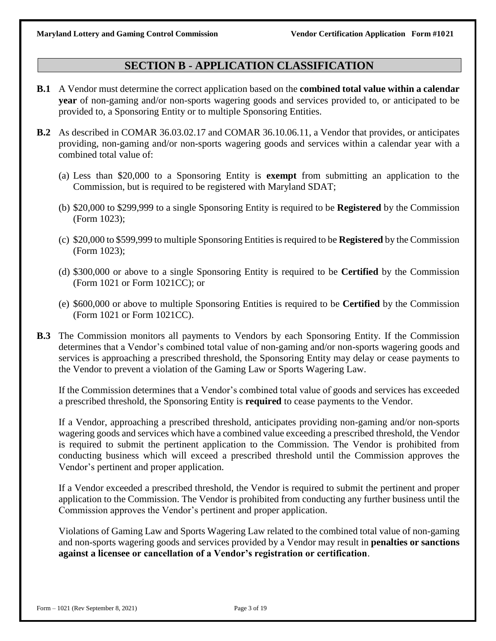### **SECTION B - APPLICATION CLASSIFICATION**

- **B.1** A Vendor must determine the correct application based on the **combined total value within a calendar year** of non-gaming and/or non-sports wagering goods and services provided to, or anticipated to be provided to, a Sponsoring Entity or to multiple Sponsoring Entities.
- **B.2** As described in COMAR 36.03.02.17 and COMAR 36.10.06.11, a Vendor that provides, or anticipates providing, non-gaming and/or non-sports wagering goods and services within a calendar year with a combined total value of:
	- (a) Less than \$20,000 to a Sponsoring Entity is **exempt** from submitting an application to the Commission, but is required to be registered with Maryland SDAT;
	- (b) \$20,000 to \$299,999 to a single Sponsoring Entity is required to be **Registered** by the Commission (Form 1023);
	- (c) \$20,000 to \$599,999 to multiple Sponsoring Entitiesis required to be **Registered** by the Commission (Form 1023);
	- (d) \$300,000 or above to a single Sponsoring Entity is required to be **Certified** by the Commission (Form 1021 or Form 1021CC); or
	- (e) \$600,000 or above to multiple Sponsoring Entities is required to be **Certified** by the Commission (Form 1021 or Form 1021CC).
- **B.3** The Commission monitors all payments to Vendors by each Sponsoring Entity. If the Commission determines that a Vendor's combined total value of non-gaming and/or non-sports wagering goods and services is approaching a prescribed threshold, the Sponsoring Entity may delay or cease payments to the Vendor to prevent a violation of the Gaming Law or Sports Wagering Law.

If the Commission determines that a Vendor's combined total value of goods and services has exceeded a prescribed threshold, the Sponsoring Entity is **required** to cease payments to the Vendor.

If a Vendor, approaching a prescribed threshold, anticipates providing non-gaming and/or non-sports wagering goods and services which have a combined value exceeding a prescribed threshold, the Vendor is required to submit the pertinent application to the Commission. The Vendor is prohibited from conducting business which will exceed a prescribed threshold until the Commission approves the Vendor's pertinent and proper application.

If a Vendor exceeded a prescribed threshold, the Vendor is required to submit the pertinent and proper application to the Commission. The Vendor is prohibited from conducting any further business until the Commission approves the Vendor's pertinent and proper application.

Violations of Gaming Law and Sports Wagering Law related to the combined total value of non-gaming and non-sports wagering goods and services provided by a Vendor may result in **penalties or sanctions against a licensee or cancellation of a Vendor's registration or certification**.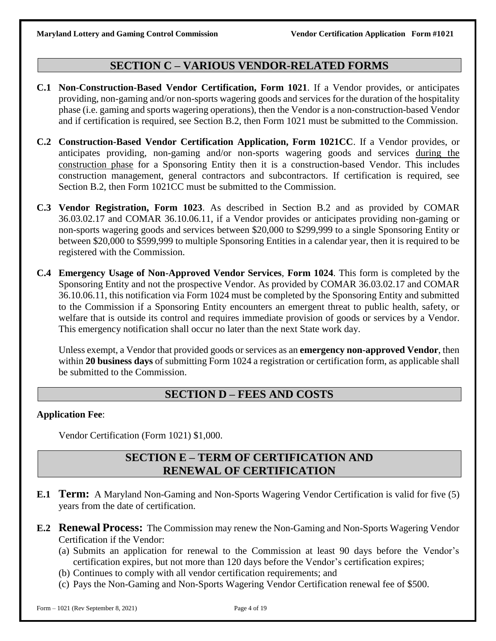# **SECTION C – VARIOUS VENDOR-RELATED FORMS**

- **C.1 Non-Construction-Based Vendor Certification, Form 1021**. If a Vendor provides, or anticipates providing, non-gaming and/or non-sports wagering goods and services for the duration of the hospitality phase (i.e. gaming and sports wagering operations), then the Vendor is a non-construction-based Vendor and if certification is required, see Section B.2, then Form 1021 must be submitted to the Commission.
- **C.2 Construction-Based Vendor Certification Application, Form 1021CC**. If a Vendor provides, or anticipates providing, non-gaming and/or non-sports wagering goods and services during the construction phase for a Sponsoring Entity then it is a construction-based Vendor. This includes construction management, general contractors and subcontractors. If certification is required, see Section B.2, then Form 1021CC must be submitted to the Commission.
- **C.3 Vendor Registration, Form 1023**. As described in Section B.2 and as provided by COMAR 36.03.02.17 and COMAR 36.10.06.11, if a Vendor provides or anticipates providing non-gaming or non-sports wagering goods and services between \$20,000 to \$299,999 to a single Sponsoring Entity or between \$20,000 to \$599,999 to multiple Sponsoring Entities in a calendar year, then it is required to be registered with the Commission.
- **C.4 Emergency Usage of Non-Approved Vendor Services**, **Form 1024**. This form is completed by the Sponsoring Entity and not the prospective Vendor. As provided by COMAR 36.03.02.17 and COMAR 36.10.06.11, this notification via Form 1024 must be completed by the Sponsoring Entity and submitted to the Commission if a Sponsoring Entity encounters an emergent threat to public health, safety, or welfare that is outside its control and requires immediate provision of goods or services by a Vendor. This emergency notification shall occur no later than the next State work day.

Unless exempt, a Vendor that provided goods or services as an **emergency non-approved Vendor**, then within **20 business days** of submitting Form 1024 a registration or certification form, as applicable shall be submitted to the Commission.

### **SECTION D – FEES AND COSTS**

#### **Application Fee**:

Vendor Certification (Form 1021) \$1,000.

## **SECTION E – TERM OF CERTIFICATION AND RENEWAL OF CERTIFICATION**

- **E.1 Term:** A Maryland Non-Gaming and Non-Sports Wagering Vendor Certification is valid for five (5) years from the date of certification.
- **E.2 Renewal Process:** The Commission may renew the Non-Gaming and Non-Sports Wagering Vendor Certification if the Vendor:
	- (a) Submits an application for renewal to the Commission at least 90 days before the Vendor's certification expires, but not more than 120 days before the Vendor's certification expires;
	- (b) Continues to comply with all vendor certification requirements; and
	- (c) Pays the Non-Gaming and Non-Sports Wagering Vendor Certification renewal fee of \$500.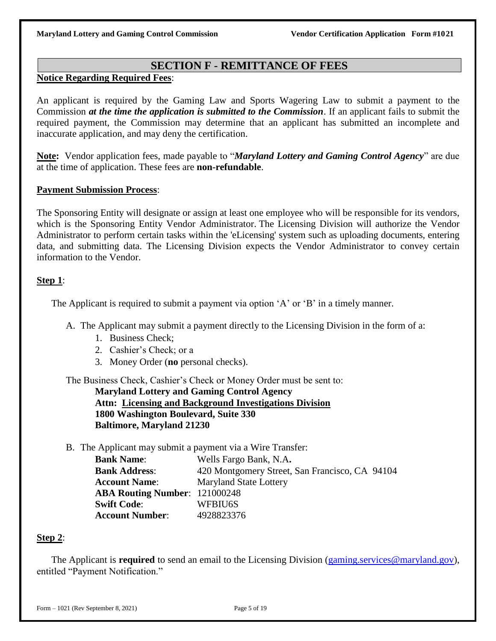#### **SECTION F - REMITTANCE OF FEES**

#### **Notice Regarding Required Fees**:

An applicant is required by the Gaming Law and Sports Wagering Law to submit a payment to the Commission *at the time the application is submitted to the Commission*. If an applicant fails to submit the required payment, the Commission may determine that an applicant has submitted an incomplete and inaccurate application, and may deny the certification.

**Note:** Vendor application fees, made payable to "*Maryland Lottery and Gaming Control Agency*" are due at the time of application. These fees are **non-refundable**.

#### **Payment Submission Process**:

The Sponsoring Entity will designate or assign at least one employee who will be responsible for its vendors, which is the Sponsoring Entity Vendor Administrator. The Licensing Division will authorize the Vendor Administrator to perform certain tasks within the 'eLicensing' system such as uploading documents, entering data, and submitting data. The Licensing Division expects the Vendor Administrator to convey certain information to the Vendor.

#### **Step 1**:

The Applicant is required to submit a payment via option 'A' or 'B' in a timely manner.

- A. The Applicant may submit a payment directly to the Licensing Division in the form of a:
	- 1. Business Check;
	- 2. Cashier's Check; or a
	- 3. Money Order (**no** personal checks).

The Business Check, Cashier's Check or Money Order must be sent to:

**Maryland Lottery and Gaming Control Agency Attn: Licensing and Background Investigations Division 1800 Washington Boulevard, Suite 330 Baltimore, Maryland 21230** 

B. The Applicant may submit a payment via a Wire Transfer:

| <b>Bank Name:</b>                    | Wells Fargo Bank, N.A.                         |
|--------------------------------------|------------------------------------------------|
| <b>Bank Address:</b>                 | 420 Montgomery Street, San Francisco, CA 94104 |
| <b>Account Name:</b>                 | <b>Maryland State Lottery</b>                  |
| <b>ABA Routing Number: 121000248</b> |                                                |
| <b>Swift Code:</b>                   | WFBIU6S                                        |
| <b>Account Number:</b>               | 4928823376                                     |

#### **Step 2**:

The Applicant is **required** to send an email to the Licensing Division [\(gaming.services@maryland.gov\)](mailto:gaming.services@maryland.gov), entitled "Payment Notification."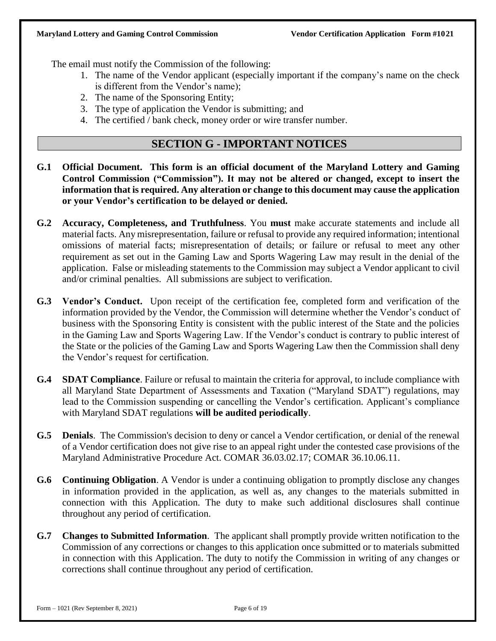The email must notify the Commission of the following:

- 1. The name of the Vendor applicant (especially important if the company's name on the check is different from the Vendor's name);
- 2. The name of the Sponsoring Entity;
- 3. The type of application the Vendor is submitting; and
- 4. The certified / bank check, money order or wire transfer number.

#### **SECTION G - IMPORTANT NOTICES**

- **G.1 Official Document. This form is an official document of the Maryland Lottery and Gaming Control Commission ("Commission"). It may not be altered or changed, except to insert the information that is required. Any alteration or change to this document may cause the application or your Vendor's certification to be delayed or denied.**
- **G.2 Accuracy, Completeness, and Truthfulness**. You **must** make accurate statements and include all material facts. Any misrepresentation, failure or refusal to provide any required information; intentional omissions of material facts; misrepresentation of details; or failure or refusal to meet any other requirement as set out in the Gaming Law and Sports Wagering Law may result in the denial of the application. False or misleading statements to the Commission may subject a Vendor applicant to civil and/or criminal penalties. All submissions are subject to verification.
- **G.3 Vendor's Conduct.** Upon receipt of the certification fee, completed form and verification of the information provided by the Vendor, the Commission will determine whether the Vendor's conduct of business with the Sponsoring Entity is consistent with the public interest of the State and the policies in the Gaming Law and Sports Wagering Law. If the Vendor's conduct is contrary to public interest of the State or the policies of the Gaming Law and Sports Wagering Law then the Commission shall deny the Vendor's request for certification.
- **G.4 SDAT Compliance**. Failure or refusal to maintain the criteria for approval, to include compliance with all Maryland State Department of Assessments and Taxation ("Maryland SDAT") regulations, may lead to the Commission suspending or cancelling the Vendor's certification. Applicant's compliance with Maryland SDAT regulations **will be audited periodically**.
- **G.5 Denials**. The Commission's decision to deny or cancel a Vendor certification, or denial of the renewal of a Vendor certification does not give rise to an appeal right under the contested case provisions of the Maryland Administrative Procedure Act. COMAR 36.03.02.17; COMAR 36.10.06.11.
- **G.6 Continuing Obligation**. A Vendor is under a continuing obligation to promptly disclose any changes in information provided in the application, as well as, any changes to the materials submitted in connection with this Application. The duty to make such additional disclosures shall continue throughout any period of certification.
- **G.7 Changes to Submitted Information**. The applicant shall promptly provide written notification to the Commission of any corrections or changes to this application once submitted or to materials submitted in connection with this Application. The duty to notify the Commission in writing of any changes or corrections shall continue throughout any period of certification.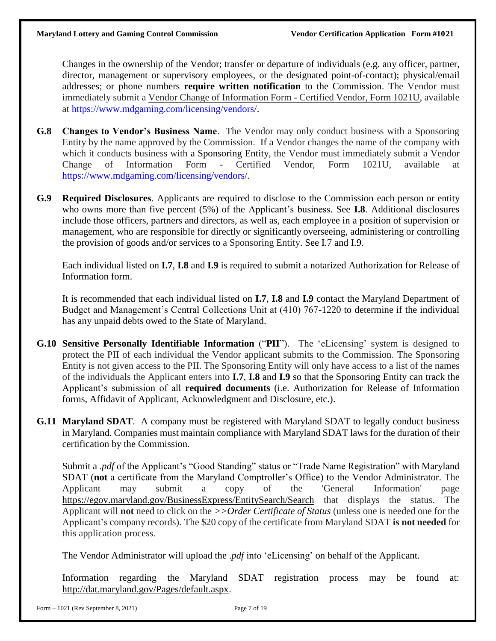Changes in the ownership of the Vendor; transfer or departure of individuals (e.g. any officer, partner, director, management or supervisory employees, or the designated point-of-contact); physical/email addresses; or phone numbers **require written notification** to the Commission. The Vendor must immediately submit a Vendor Change of Information Form - Certified Vendor, Form 1021U, available at https://www.mdgaming.com/licensing/vendors/.

- **G.8 Changes to Vendor's Business Name**. The Vendor may only conduct business with a Sponsoring Entity by the name approved by the Commission. If a Vendor changes the name of the company with which it conducts business with a Sponsoring Entity, the Vendor must immediately submit a Vendor Change of Information Form - Certified Vendor, Form 1021U, available at https://www.mdgaming.com/licensing/vendors/.
- **G.9 Required Disclosures**. Applicants are required to disclose to the Commission each person or entity who owns more than five percent (5%) of the Applicant's business. See **I.8**. Additional disclosures include those officers, partners and directors, as well as, each employee in a position of supervision or management, who are responsible for directly or significantly overseeing, administering or controlling the provision of goods and/or services to a Sponsoring Entity. See I.7 and I.9.

Each individual listed on **I.7**, **I.8** and **I.9** is required to submit a notarized Authorization for Release of Information form.

It is recommended that each individual listed on **I.7**, **I.8** and **I.9** contact the Maryland Department of Budget and Management's Central Collections Unit at (410) 767-1220 to determine if the individual has any unpaid debts owed to the State of Maryland.

- **G.10 Sensitive Personally Identifiable Information** ("**PII**"). The 'eLicensing' system is designed to protect the PII of each individual the Vendor applicant submits to the Commission. The Sponsoring Entity is not given access to the PII. The Sponsoring Entity will only have access to a list of the names of the individuals the Applicant enters into **I.7**, **I.8** and **I.9** so that the Sponsoring Entity can track the Applicant's submission of all **required documents** (i.e. Authorization for Release of Information forms, Affidavit of Applicant, Acknowledgment and Disclosure, etc.).
- **G.11 Maryland SDAT**. A company must be registered with Maryland SDAT to legally conduct business in Maryland. Companies must maintain compliance with Maryland SDAT laws for the duration of their certification by the Commission.

Submit a .*pdf* of the Applicant's "Good Standing" status or "Trade Name Registration" with Maryland SDAT (**not** a certificate from the Maryland Comptroller's Office) to the Vendor Administrator. The Applicant may submit a copy of the 'General Information' page <https://egov.maryland.gov/BusinessExpress/EntitySearch/Search> that displays the status. The Applicant will **not** need to click on the *>>Order Certificate of Status* (unless one is needed one for the Applicant's company records). The \$20 copy of the certificate from Maryland SDAT **is not needed** for this application process.

The Vendor Administrator will upload the .*pdf* into 'eLicensing' on behalf of the Applicant.

Information regarding the Maryland SDAT registration process may be found at: [http://dat.maryland.gov/Pages/default.aspx.](http://dat.maryland.gov/Pages/default.aspx)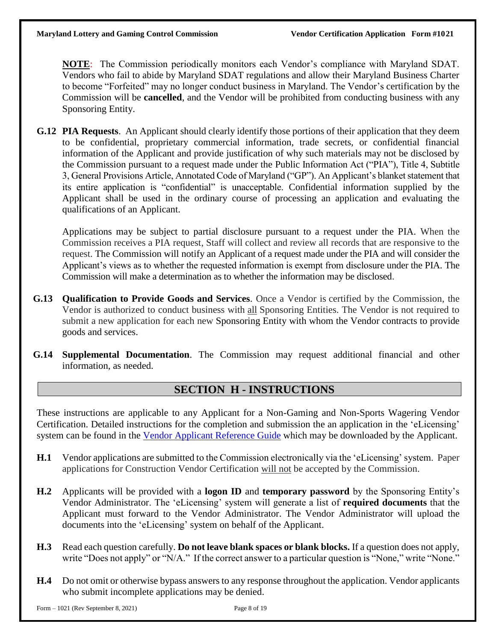**NOTE**: The Commission periodically monitors each Vendor's compliance with Maryland SDAT. Vendors who fail to abide by Maryland SDAT regulations and allow their Maryland Business Charter to become "Forfeited" may no longer conduct business in Maryland. The Vendor's certification by the Commission will be **cancelled**, and the Vendor will be prohibited from conducting business with any Sponsoring Entity.

**G.12 PIA Requests**. An Applicant should clearly identify those portions of their application that they deem to be confidential, proprietary commercial information, trade secrets, or confidential financial information of the Applicant and provide justification of why such materials may not be disclosed by the Commission pursuant to a request made under the Public Information Act ("PIA"), Title 4, Subtitle 3, General Provisions Article, Annotated Code of Maryland ("GP"). An Applicant's blanket statement that its entire application is "confidential" is unacceptable. Confidential information supplied by the Applicant shall be used in the ordinary course of processing an application and evaluating the qualifications of an Applicant.

Applications may be subject to partial disclosure pursuant to a request under the PIA. When the Commission receives a PIA request, Staff will collect and review all records that are responsive to the request. The Commission will notify an Applicant of a request made under the PIA and will consider the Applicant's views as to whether the requested information is exempt from disclosure under the PIA. The Commission will make a determination as to whether the information may be disclosed.

- **G.13 Qualification to Provide Goods and Services**. Once a Vendor is certified by the Commission, the Vendor is authorized to conduct business with all Sponsoring Entities. The Vendor is not required to submit a new application for each new Sponsoring Entity with whom the Vendor contracts to provide goods and services.
- **G.14 Supplemental Documentation**. The Commission may request additional financial and other information, as needed.

# **SECTION H - INSTRUCTIONS**

These instructions are applicable to any Applicant for a Non-Gaming and Non-Sports Wagering Vendor Certification. Detailed instructions for the completion and submission the an application in the 'eLicensing' system can be found in the Vendor Applicant [Reference](https://www.mdgaming.com/wp-content/uploads/2021/04/Vendor-Applicant-Reference-Guide.pdf) Guide which may be downloaded by the Applicant.

- **H.1** Vendor applications are submitted to the Commission electronically via the 'eLicensing' system. Paper applications for Construction Vendor Certification will not be accepted by the Commission.
- **H.2** Applicants will be provided with a **logon ID** and **temporary password** by the Sponsoring Entity's Vendor Administrator. The 'eLicensing' system will generate a list of **required documents** that the Applicant must forward to the Vendor Administrator. The Vendor Administrator will upload the documents into the 'eLicensing' system on behalf of the Applicant.
- **H.3** Read each question carefully. **Do not leave blank spaces or blank blocks.** If a question does not apply, write "Does not apply" or "N/A." If the correct answer to a particular question is "None," write "None."
- **H.4** Do not omit or otherwise bypass answers to any response throughout the application. Vendor applicants who submit incomplete applications may be denied.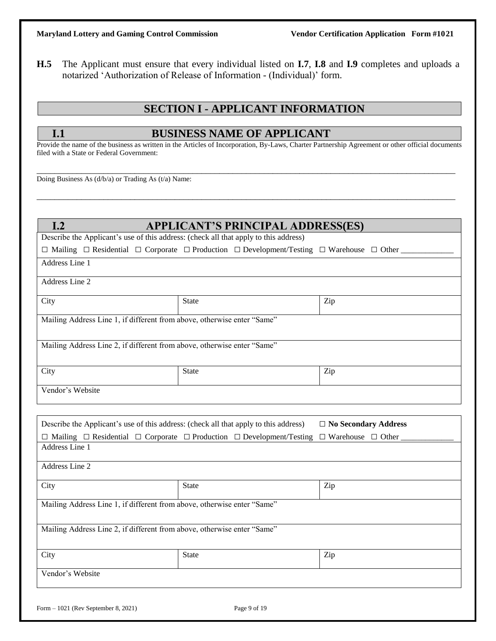**H.5** The Applicant must ensure that every individual listed on **I.7**, **I.8** and **I.9** completes and uploads a notarized 'Authorization of Release of Information - (Individual)' form.

# **SECTION I - APPLICANT INFORMATION**

### **I.1 BUSINESS NAME OF APPLICANT**

Provide the name of the business as written in the Articles of Incorporation, By-Laws, Charter Partnership Agreement or other official documents filed with a State or Federal Government:

\_\_\_\_\_\_\_\_\_\_\_\_\_\_\_\_\_\_\_\_\_\_\_\_\_\_\_\_\_\_\_\_\_\_\_\_\_\_\_\_\_\_\_\_\_\_\_\_\_\_\_\_\_\_\_\_\_\_\_\_\_\_\_\_\_\_\_\_\_\_\_\_\_\_\_\_\_\_\_\_\_\_\_\_\_\_\_\_\_\_\_\_\_\_

\_\_\_\_\_\_\_\_\_\_\_\_\_\_\_\_\_\_\_\_\_\_\_\_\_\_\_\_\_\_\_\_\_\_\_\_\_\_\_\_\_\_\_\_\_\_\_\_\_\_\_\_\_\_\_\_\_\_\_\_\_\_\_\_\_\_\_\_\_\_\_\_\_\_\_\_\_\_\_\_\_\_\_\_\_\_\_\_\_\_\_\_\_\_

Doing Business As (d/b/a) or Trading As (t/a) Name:

| I.2<br><b>APPLICANT'S PRINCIPAL ADDRESS(ES)</b>                                      |                                                                                                                                      |                               |  |  |
|--------------------------------------------------------------------------------------|--------------------------------------------------------------------------------------------------------------------------------------|-------------------------------|--|--|
| Describe the Applicant's use of this address: (check all that apply to this address) |                                                                                                                                      |                               |  |  |
|                                                                                      | $\Box$ Mailing $\Box$ Residential $\Box$ Corporate $\Box$ Production $\Box$ Development/Testing $\Box$ Warehouse $\Box$ Other ______ |                               |  |  |
| Address Line 1                                                                       |                                                                                                                                      |                               |  |  |
| Address Line 2                                                                       |                                                                                                                                      |                               |  |  |
| City                                                                                 | <b>State</b>                                                                                                                         | Zip                           |  |  |
| Mailing Address Line 1, if different from above, otherwise enter "Same"              |                                                                                                                                      |                               |  |  |
| Mailing Address Line 2, if different from above, otherwise enter "Same"              |                                                                                                                                      |                               |  |  |
| City                                                                                 | <b>State</b>                                                                                                                         | Zip                           |  |  |
| Vendor's Website                                                                     |                                                                                                                                      |                               |  |  |
|                                                                                      |                                                                                                                                      |                               |  |  |
| Describe the Applicant's use of this address: (check all that apply to this address) |                                                                                                                                      | $\Box$ No Secondary Address   |  |  |
|                                                                                      | $\Box$ Mailing $\Box$ Residential $\Box$ Corporate $\Box$ Production $\Box$ Development/Testing                                      | $\Box$ Warehouse $\Box$ Other |  |  |
| Address Line 1                                                                       |                                                                                                                                      |                               |  |  |
| Address Line 2                                                                       |                                                                                                                                      |                               |  |  |
| City                                                                                 | <b>State</b>                                                                                                                         | Zip                           |  |  |
| Mailing Address Line 1, if different from above, otherwise enter "Same"              |                                                                                                                                      |                               |  |  |
| Mailing Address Line 2, if different from above, otherwise enter "Same"              |                                                                                                                                      |                               |  |  |
|                                                                                      |                                                                                                                                      |                               |  |  |
| City                                                                                 | <b>State</b>                                                                                                                         | Zip                           |  |  |
| Vendor's Website                                                                     |                                                                                                                                      |                               |  |  |
|                                                                                      |                                                                                                                                      |                               |  |  |
| Form $-1021$ (Rev September 8, 2021)                                                 | Page 9 of 19                                                                                                                         |                               |  |  |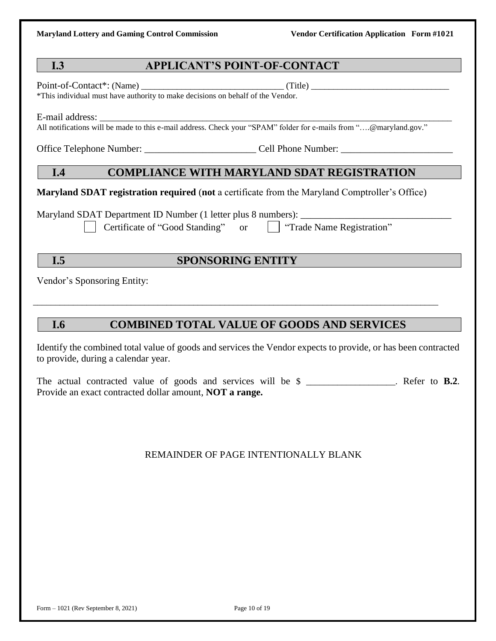### **I.3 APPLICANT'S POINT-OF-CONTACT**

Point-of-Contact\*: (Name) \_\_\_\_\_\_\_\_\_\_\_\_\_\_\_\_\_\_\_\_\_\_\_\_\_\_\_\_\_\_\_\_ (Title) \_\_\_\_\_\_\_\_\_\_\_\_\_\_\_\_\_\_\_\_\_\_\_\_\_\_\_\_\_\_\_

\*This individual must have authority to make decisions on behalf of the Vendor.

E-mail address:

All notifications will be made to this e-mail address. Check your "SPAM" folder for e-mails from "....@maryland.gov."

Office Telephone Number:  $\Box$  Cell Phone Number:  $\Box$ 

# **I.4 COMPLIANCE WITH MARYLAND SDAT REGISTRATION**

**Maryland SDAT registration required** (**not** a certificate from the Maryland Comptroller's Office)

Maryland SDAT Department ID Number (1 letter plus 8 numbers):

Certificate of "Good Standing" or  $\parallel$  Trade Name Registration"

# **I.5 SPONSORING ENTITY**

\_\_\_\_\_\_\_\_\_\_\_\_\_\_\_\_\_\_\_\_\_\_\_\_\_\_\_\_\_\_\_\_\_\_\_\_\_\_\_\_\_\_\_\_\_\_\_\_\_\_\_\_\_\_\_\_\_\_\_\_\_\_\_\_\_\_\_\_\_\_\_\_\_\_\_\_\_\_\_\_\_\_\_\_\_\_\_\_\_\_\_

Vendor's Sponsoring Entity:

# **I.6 COMBINED TOTAL VALUE OF GOODS AND SERVICES**

Identify the combined total value of goods and services the Vendor expects to provide, or has been contracted to provide, during a calendar year.

The actual contracted value of goods and services will be \$ \_\_\_\_\_\_\_\_\_\_\_\_\_\_\_\_\_\_\_\_. Refer to **B.2**. Provide an exact contracted dollar amount, **NOT a range.**

### REMAINDER OF PAGE INTENTIONALLY BLANK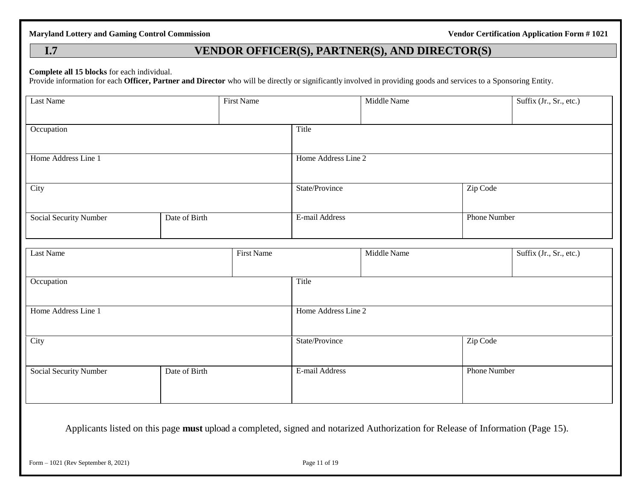# **I.7 VENDOR OFFICER(S), PARTNER(S), AND DIRECTOR(S)**

#### **Complete all 15 blocks** for each individual.

Provide information for each **Officer, Partner and Director** who will be directly or significantly involved in providing goods and services to a Sponsoring Entity.

| Last Name                     |               | <b>First Name</b> |                     | Middle Name |                     | Suffix (Jr., Sr., etc.) |
|-------------------------------|---------------|-------------------|---------------------|-------------|---------------------|-------------------------|
| Occupation                    |               |                   | Title               |             |                     |                         |
| Home Address Line 1           |               |                   | Home Address Line 2 |             |                     |                         |
| City                          |               |                   | State/Province      |             | Zip Code            |                         |
| Social Security Number        | Date of Birth |                   | E-mail Address      |             | <b>Phone Number</b> |                         |
| <b>Last Name</b>              |               | <b>First Name</b> |                     | Middle Name |                     | Suffix (Jr., Sr., etc.) |
| Occupation                    |               |                   | Title               |             |                     |                         |
| Home Address Line 1           |               |                   | Home Address Line 2 |             |                     |                         |
| City                          |               |                   | State/Province      |             | Zip Code            |                         |
| <b>Social Security Number</b> | Date of Birth |                   | E-mail Address      |             | <b>Phone Number</b> |                         |
|                               |               |                   |                     |             |                     |                         |
|                               |               |                   |                     |             |                     |                         |

Applicants listed on this page **must** upload a completed, signed and notarized Authorization for Release of Information (Page 15).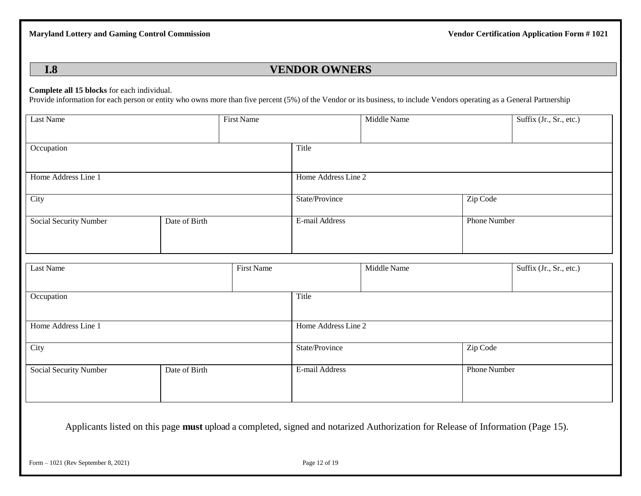# **I.8 VENDOR OWNERS**

#### **Complete all 15 blocks** for each individual.

Provide information for each person or entity who owns more than five percent (5%) of the Vendor or its business, to include Vendors operating as a General Partnership

| Last Name              |               | First Name                 |                     | Middle Name |                     | Suffix (Jr., Sr., etc.) |
|------------------------|---------------|----------------------------|---------------------|-------------|---------------------|-------------------------|
| Occupation             |               |                            | Title               |             |                     |                         |
| Home Address Line 1    |               |                            | Home Address Line 2 |             |                     |                         |
| City                   |               |                            | State/Province      |             | Zip Code            |                         |
| Social Security Number | Date of Birth |                            | E-mail Address      |             | <b>Phone Number</b> |                         |
| Last Name              |               | First Name                 |                     | Middle Name |                     | Suffix (Jr., Sr., etc.) |
| Occupation             |               | Title                      |                     |             |                     |                         |
| Home Address Line 1    |               |                            | Home Address Line 2 |             |                     |                         |
| City                   |               | Zip Code<br>State/Province |                     |             |                     |                         |
| Social Security Number | Date of Birth |                            | E-mail Address      |             | Phone Number        |                         |
|                        |               |                            |                     |             |                     |                         |

Applicants listed on this page **must** upload a completed, signed and notarized Authorization for Release of Information (Page 15).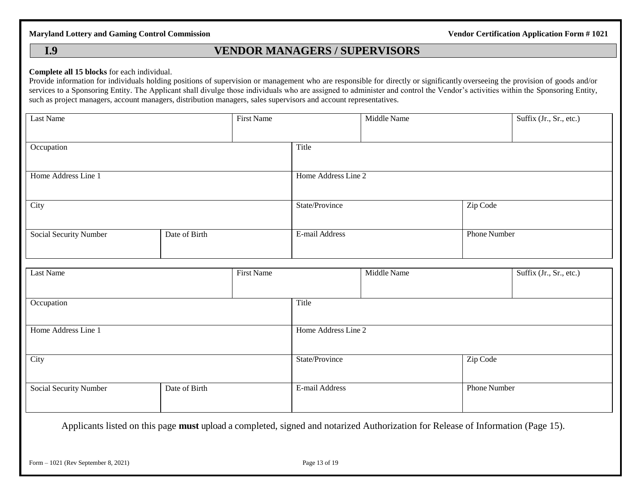# **I.9 VENDOR MANAGERS / SUPERVISORS**

#### **Complete all 15 blocks** for each individual.

Provide information for individuals holding positions of supervision or management who are responsible for directly or significantly overseeing the provision of goods and/or services to a Sponsoring Entity. The Applicant shall divulge those individuals who are assigned to administer and control the Vendor's activities within the Sponsoring Entity, such as project managers, account managers, distribution managers, sales supervisors and account representatives.

| Last Name              |               | <b>First Name</b> |                            | Middle Name |              | Suffix (Jr., Sr., etc.) |  |
|------------------------|---------------|-------------------|----------------------------|-------------|--------------|-------------------------|--|
|                        |               |                   |                            |             |              |                         |  |
| Occupation             |               |                   | Title                      |             |              |                         |  |
|                        |               |                   |                            |             |              |                         |  |
| Home Address Line 1    |               |                   | Home Address Line 2        |             |              |                         |  |
|                        |               |                   |                            |             |              |                         |  |
| City                   |               |                   | Zip Code<br>State/Province |             |              |                         |  |
|                        |               |                   |                            |             |              |                         |  |
| Social Security Number | Date of Birth |                   | E-mail Address             |             | Phone Number |                         |  |
|                        |               |                   |                            |             |              |                         |  |
|                        |               |                   |                            |             |              |                         |  |
| Last Name              |               | <b>First Name</b> |                            | Middle Name |              | Suffix (Jr., Sr., etc.) |  |
|                        |               |                   |                            |             |              |                         |  |
| Occupation             |               |                   | Title                      |             |              |                         |  |
|                        |               |                   |                            |             |              |                         |  |
| Home Address Line 1    |               |                   | Home Address Line 2        |             |              |                         |  |
|                        |               |                   |                            |             |              |                         |  |
| City                   |               |                   | State/Province             |             |              | Zip Code                |  |
|                        |               |                   |                            |             |              |                         |  |
|                        |               |                   | E-mail Address             |             |              |                         |  |
| Social Security Number | Date of Birth |                   |                            |             | Phone Number |                         |  |
|                        |               |                   |                            |             |              |                         |  |

Applicants listed on this page **must** upload a completed, signed and notarized Authorization for Release of Information (Page 15).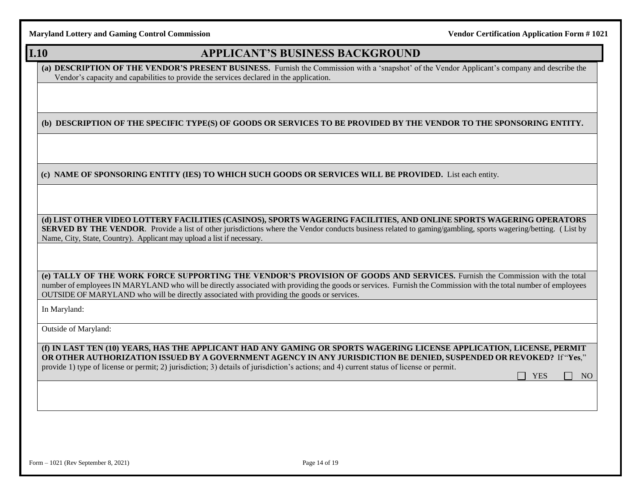# **I.10 APPLICANT'S BUSINESS BACKGROUND**

**(a) DESCRIPTION OF THE VENDOR'S PRESENT BUSINESS.** Furnish the Commission with a 'snapshot' of the Vendor Applicant's company and describe the Vendor's capacity and capabilities to provide the services declared in the application.

**(b) DESCRIPTION OF THE SPECIFIC TYPE(S) OF GOODS OR SERVICES TO BE PROVIDED BY THE VENDOR TO THE SPONSORING ENTITY.** 

**(c) NAME OF SPONSORING ENTITY (IES) TO WHICH SUCH GOODS OR SERVICES WILL BE PROVIDED.** List each entity.

**(d) LIST OTHER VIDEO LOTTERY FACILITIES (CASINOS), SPORTS WAGERING FACILITIES, AND ONLINE SPORTS WAGERING OPERATORS SERVED BY THE VENDOR**. Provide a list of other jurisdictions where the Vendor conducts business related to gaming/gambling, sports wagering/betting. (List by Name, City, State, Country). Applicant may upload a list if necessary.

**(e) TALLY OF THE WORK FORCE SUPPORTING THE VENDOR'S PROVISION OF GOODS AND SERVICES.** Furnish the Commission with the total number of employees IN MARYLAND who will be directly associated with providing the goods or services. Furnish the Commission with the total number of employees OUTSIDE OF MARYLAND who will be directly associated with providing the goods or services.

In Maryland:

Outside of Maryland:

**(f) IN LAST TEN (10) YEARS, HAS THE APPLICANT HAD ANY GAMING OR SPORTS WAGERING LICENSE APPLICATION, LICENSE, PERMIT OR OTHER AUTHORIZATION ISSUED BY A GOVERNMENT AGENCY IN ANY JURISDICTION BE DENIED, SUSPENDED OR REVOKED?** If "**Yes**," provide 1) type of license or permit; 2) jurisdiction; 3) details of jurisdiction's actions; and 4) current status of license or permit.

YES **NO**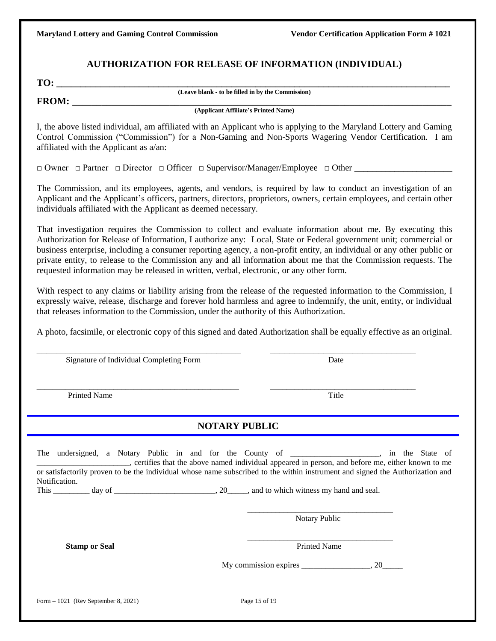#### **AUTHORIZATION FOR RELEASE OF INFORMATION (INDIVIDUAL)**

| - - |
|-----|
|-----|

**(Leave blank - to be filled in by the Commission)**

**FROM:** 

**(Applicant Affiliate's Printed Name)**

I, the above listed individual, am affiliated with an Applicant who is applying to the Maryland Lottery and Gaming Control Commission ("Commission") for a Non-Gaming and Non-Sports Wagering Vendor Certification. I am affiliated with the Applicant as a/an:

□ Owner □ Partner □ Director □ Officer □ Supervisor/Manager/Employee □ Other \_\_\_\_\_\_\_\_\_\_\_\_\_\_\_\_\_\_\_\_\_\_

The Commission, and its employees, agents, and vendors, is required by law to conduct an investigation of an Applicant and the Applicant's officers, partners, directors, proprietors, owners, certain employees, and certain other individuals affiliated with the Applicant as deemed necessary.

That investigation requires the Commission to collect and evaluate information about me. By executing this Authorization for Release of Information, I authorize any: Local, State or Federal government unit; commercial or business enterprise, including a consumer reporting agency, a non-profit entity, an individual or any other public or private entity, to release to the Commission any and all information about me that the Commission requests. The requested information may be released in written, verbal, electronic, or any other form.

With respect to any claims or liability arising from the release of the requested information to the Commission, I expressly waive, release, discharge and forever hold harmless and agree to indemnify, the unit, entity, or individual that releases information to the Commission, under the authority of this Authorization.

A photo, facsimile, or electronic copy of this signed and dated Authorization shall be equally effective as an original.

\_\_\_\_\_\_\_\_\_\_\_\_\_\_\_\_\_\_\_\_\_\_\_\_\_\_\_\_\_\_\_\_\_\_\_\_\_\_\_\_\_\_ \_\_\_\_\_\_\_\_\_\_\_\_\_\_\_\_\_\_\_\_\_\_\_\_\_\_\_\_\_\_

\_\_\_\_\_\_\_\_\_\_\_\_\_\_\_\_\_\_\_\_\_\_\_\_\_\_\_\_\_\_\_\_\_\_\_\_\_\_\_\_\_\_\_\_\_\_\_\_\_\_ \_\_\_\_\_\_\_\_\_\_\_\_\_\_\_\_\_\_\_\_\_\_\_\_\_\_\_\_\_\_\_\_\_\_\_\_

Signature of Individual Completing Form Date

Printed Name Title **The Second Second 1999** Title

 **NOTARY PUBLIC**

|                                      | The undersigned, a Notary Public in and for the County of ________________, in the State of<br>, certifies that the above named individual appeared in person, and before me, either known to me |
|--------------------------------------|--------------------------------------------------------------------------------------------------------------------------------------------------------------------------------------------------|
| Notification.                        | or satisfactorily proven to be the individual whose name subscribed to the within instrument and signed the Authorization and                                                                    |
|                                      |                                                                                                                                                                                                  |
|                                      | <b>Notary Public</b>                                                                                                                                                                             |
| <b>Stamp or Seal</b>                 | <b>Printed Name</b>                                                                                                                                                                              |
|                                      | My commission expires $\_\_\_\_\_$ , 20                                                                                                                                                          |
|                                      |                                                                                                                                                                                                  |
| Form $-1021$ (Rev September 8, 2021) | Page 15 of 19                                                                                                                                                                                    |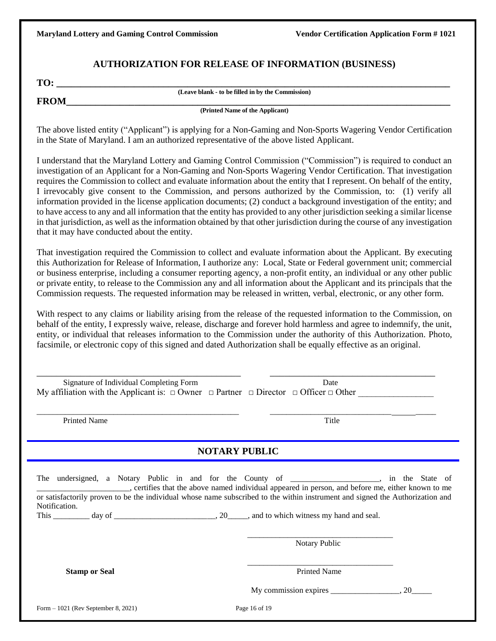#### **AUTHORIZATION FOR RELEASE OF INFORMATION (BUSINESS)**

| TO:         |                                                   |  |
|-------------|---------------------------------------------------|--|
| <b>FROM</b> | (Leave blank - to be filled in by the Commission) |  |
|             | (Printed Name of the Applicant)                   |  |

The above listed entity ("Applicant") is applying for a Non-Gaming and Non-Sports Wagering Vendor Certification in the State of Maryland. I am an authorized representative of the above listed Applicant.

I understand that the Maryland Lottery and Gaming Control Commission ("Commission") is required to conduct an investigation of an Applicant for a Non-Gaming and Non-Sports Wagering Vendor Certification. That investigation requires the Commission to collect and evaluate information about the entity that I represent. On behalf of the entity, I irrevocably give consent to the Commission, and persons authorized by the Commission, to: (1) verify all information provided in the license application documents; (2) conduct a background investigation of the entity; and to have access to any and all information that the entity has provided to any other jurisdiction seeking a similar license in that jurisdiction, as well as the information obtained by that other jurisdiction during the course of any investigation that it may have conducted about the entity.

That investigation required the Commission to collect and evaluate information about the Applicant. By executing this Authorization for Release of Information, I authorize any: Local, State or Federal government unit; commercial or business enterprise, including a consumer reporting agency, a non-profit entity, an individual or any other public or private entity, to release to the Commission any and all information about the Applicant and its principals that the Commission requests. The requested information may be released in written, verbal, electronic, or any other form.

With respect to any claims or liability arising from the release of the requested information to the Commission, on behalf of the entity, I expressly waive, release, discharge and forever hold harmless and agree to indemnify, the unit, entity, or individual that releases information to the Commission under the authority of this Authorization. Photo, facsimile, or electronic copy of this signed and dated Authorization shall be equally effective as an original.

| Signature of Individual Completing Form<br>My affiliation with the Applicant is: $\Box$ Owner $\Box$ Partner $\Box$ Director $\Box$ Officer $\Box$ Other                                                                                                                                                                                                      | Date                                     |  |
|---------------------------------------------------------------------------------------------------------------------------------------------------------------------------------------------------------------------------------------------------------------------------------------------------------------------------------------------------------------|------------------------------------------|--|
| <b>Printed Name</b>                                                                                                                                                                                                                                                                                                                                           | Title                                    |  |
| <b>NOTARY PUBLIC</b>                                                                                                                                                                                                                                                                                                                                          |                                          |  |
| The undersigned, a Notary Public in and for the County of _______________, in the State of _______________, certifies that the above named individual appeared in person, and before me, either known to me<br>or satisfactorily proven to be the individual whose name subscribed to the within instrument and signed the Authorization and<br>Notification. |                                          |  |
|                                                                                                                                                                                                                                                                                                                                                               | Notary Public                            |  |
| <b>Stamp or Seal</b>                                                                                                                                                                                                                                                                                                                                          | <b>Printed Name</b>                      |  |
|                                                                                                                                                                                                                                                                                                                                                               | My commission expires $\frac{1}{2}$ , 20 |  |
| Form $-1021$ (Rev September 8, 2021)                                                                                                                                                                                                                                                                                                                          | Page 16 of 19                            |  |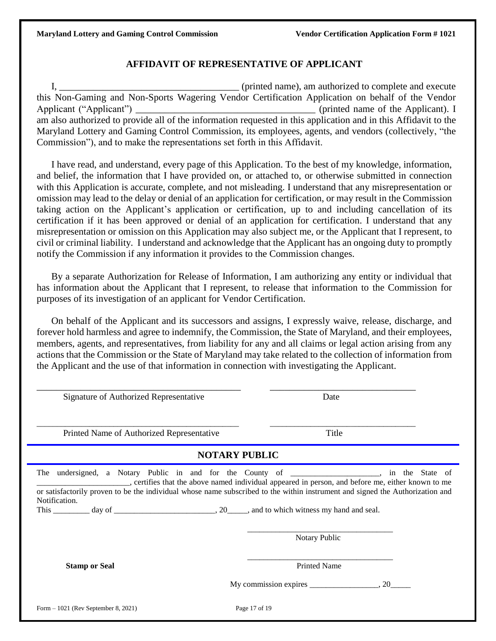#### **AFFIDAVIT OF REPRESENTATIVE OF APPLICANT**

I,  $\frac{1}{2}$  (printed name), am authorized to complete and execute this Non-Gaming and Non-Sports Wagering Vendor Certification Application on behalf of the Vendor Applicant ("Applicant") \_\_\_\_\_\_\_\_\_\_\_\_\_\_\_\_\_\_\_\_\_\_\_\_\_\_\_\_\_\_\_\_\_\_\_\_\_ (printed name of the Applicant). I am also authorized to provide all of the information requested in this application and in this Affidavit to the Maryland Lottery and Gaming Control Commission, its employees, agents, and vendors (collectively, "the Commission"), and to make the representations set forth in this Affidavit.

I have read, and understand, every page of this Application. To the best of my knowledge, information, and belief, the information that I have provided on, or attached to, or otherwise submitted in connection with this Application is accurate, complete, and not misleading. I understand that any misrepresentation or omission may lead to the delay or denial of an application for certification, or may result in the Commission taking action on the Applicant's application or certification, up to and including cancellation of its certification if it has been approved or denial of an application for certification. I understand that any misrepresentation or omission on this Application may also subject me, or the Applicant that I represent, to civil or criminal liability. I understand and acknowledge that the Applicant has an ongoing duty to promptly notify the Commission if any information it provides to the Commission changes.

By a separate Authorization for Release of Information, I am authorizing any entity or individual that has information about the Applicant that I represent, to release that information to the Commission for purposes of its investigation of an applicant for Vendor Certification.

On behalf of the Applicant and its successors and assigns, I expressly waive, release, discharge, and forever hold harmless and agree to indemnify, the Commission, the State of Maryland, and their employees, members, agents, and representatives, from liability for any and all claims or legal action arising from any actions that the Commission or the State of Maryland may take related to the collection of information from the Applicant and the use of that information in connection with investigating the Applicant.

| Signature of Authorized Representative                                                                                                                                                                                                                                                                                                                   |                      | Date                                                              |  |
|----------------------------------------------------------------------------------------------------------------------------------------------------------------------------------------------------------------------------------------------------------------------------------------------------------------------------------------------------------|----------------------|-------------------------------------------------------------------|--|
| Printed Name of Authorized Representative                                                                                                                                                                                                                                                                                                                |                      | Title                                                             |  |
|                                                                                                                                                                                                                                                                                                                                                          | <b>NOTARY PUBLIC</b> |                                                                   |  |
| undersigned, a Notary Public in and for the County of ___________________, in the State of<br>The<br>, certifies that the above named individual appeared in person, and before me, either known to me<br>or satisfactorily proven to be the individual whose name subscribed to the within instrument and signed the Authorization and<br>Notification. |                      | Notary Public                                                     |  |
| <b>Stamp or Seal</b>                                                                                                                                                                                                                                                                                                                                     |                      | <b>Printed Name</b><br>My commission expires $\frac{\ }{\ }$ , 20 |  |
| Form $-1021$ (Rev September 8, 2021)                                                                                                                                                                                                                                                                                                                     | Page 17 of 19        |                                                                   |  |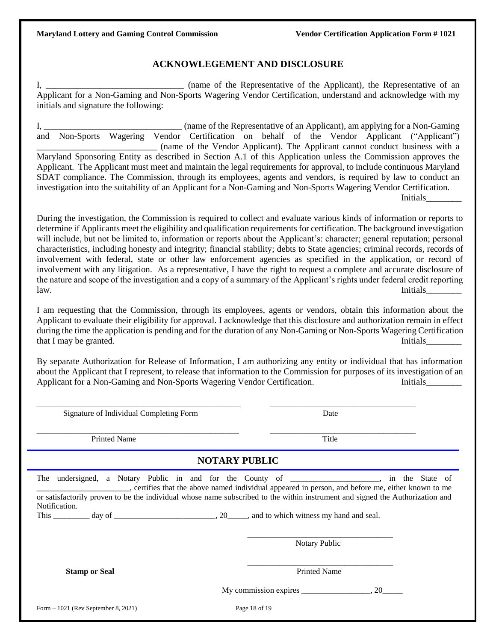#### **ACKNOWLEGEMENT AND DISCLOSURE**

I, (name of the Representative of the Applicant), the Representative of an Applicant for a Non-Gaming and Non-Sports Wagering Vendor Certification, understand and acknowledge with my initials and signature the following:

I, \_\_\_\_\_\_\_\_\_\_\_\_\_\_\_\_\_\_\_\_\_\_\_\_\_\_\_\_\_\_\_ (name of the Representative of an Applicant), am applying for a Non-Gaming and Non-Sports Wagering Vendor Certification on behalf of the Vendor Applicant ("Applicant") \_\_\_\_\_\_\_\_\_\_\_\_\_\_\_\_\_\_\_\_\_\_\_\_\_\_\_ (name of the Vendor Applicant). The Applicant cannot conduct business with a Maryland Sponsoring Entity as described in Section A.1 of this Application unless the Commission approves the Applicant. The Applicant must meet and maintain the legal requirements for approval, to include continuous Maryland SDAT compliance. The Commission, through its employees, agents and vendors, is required by law to conduct an investigation into the suitability of an Applicant for a Non-Gaming and Non-Sports Wagering Vendor Certification. **Initials** 

During the investigation, the Commission is required to collect and evaluate various kinds of information or reports to determine if Applicants meet the eligibility and qualification requirementsfor certification. The background investigation will include, but not be limited to, information or reports about the Applicant's: character; general reputation; personal characteristics, including honesty and integrity; financial stability; debts to State agencies; criminal records, records of involvement with federal, state or other law enforcement agencies as specified in the application, or record of involvement with any litigation. As a representative, I have the right to request a complete and accurate disclosure of the nature and scope of the investigation and a copy of a summary of the Applicant's rights under federal credit reporting law. Initials\_\_\_\_\_\_\_\_

I am requesting that the Commission, through its employees, agents or vendors, obtain this information about the Applicant to evaluate their eligibility for approval. I acknowledge that this disclosure and authorization remain in effect during the time the application is pending and for the duration of any Non-Gaming or Non-Sports Wagering Certification that I may be granted. Initials

By separate Authorization for Release of Information, I am authorizing any entity or individual that has information about the Applicant that I represent, to release that information to the Commission for purposes of its investigation of an Applicant for a Non-Gaming and Non-Sports Wagering Vendor Certification. Initials

| Signature of Individual Completing Form | Date                                                                                                                                                                                                                                                                                                                             |
|-----------------------------------------|----------------------------------------------------------------------------------------------------------------------------------------------------------------------------------------------------------------------------------------------------------------------------------------------------------------------------------|
| <b>Printed Name</b>                     | Title                                                                                                                                                                                                                                                                                                                            |
|                                         | <b>NOTARY PUBLIC</b>                                                                                                                                                                                                                                                                                                             |
| Notification.                           | The undersigned, a Notary Public in and for the County of _________________, in the State of<br>certifies that the above named individual appeared in person, and before me, either known to me<br>or satisfactorily proven to be the individual whose name subscribed to the within instrument and signed the Authorization and |
|                                         | Notary Public                                                                                                                                                                                                                                                                                                                    |
| <b>Stamp or Seal</b>                    | <b>Printed Name</b>                                                                                                                                                                                                                                                                                                              |
|                                         |                                                                                                                                                                                                                                                                                                                                  |
| Form $-1021$ (Rev September 8, 2021)    | Page 18 of 19                                                                                                                                                                                                                                                                                                                    |